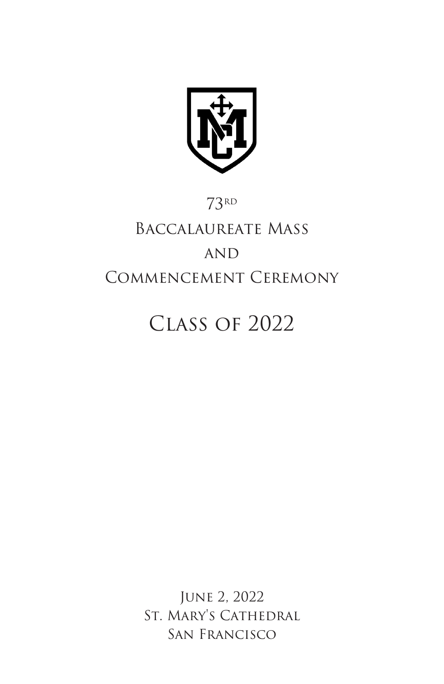

## 73rd Baccalaureate Mass

# **AND**

## Commencement Ceremony

# Class of 2022

June 2, 2022 St. Mary's Cathedral San Francisco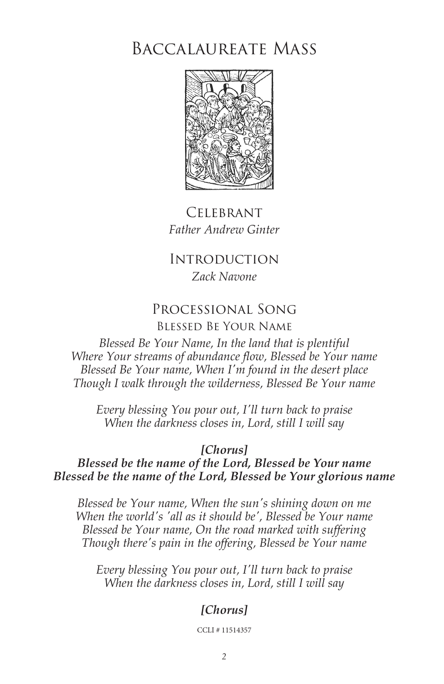## Baccalaureate Mass



#### CELEBRANT *Father Andrew Ginter*

#### Introduction *Zack Navone*

### Processional Song Blessed Be Your Name

*Blessed Be Your Name, In the land that is plentiful Where Your streams of abundance flow, Blessed be Your name Blessed Be Your name, When I'm found in the desert place Though I walk through the wilderness, Blessed Be Your name*

*Every blessing You pour out, I'll turn back to praise When the darkness closes in, Lord, still I will say*

*[Chorus]*

*Blessed be the name of the Lord, Blessed be Your name Blessed be the name of the Lord, Blessed be Your glorious name*

*Blessed be Your name, When the sun's shining down on me When the world's 'all as it should be', Blessed be Your name Blessed be Your name, On the road marked with suffering Though there's pain in the offering, Blessed be Your name*

*Every blessing You pour out, I'll turn back to praise When the darkness closes in, Lord, still I will say*

#### *[Chorus]*

CCLI # 11514357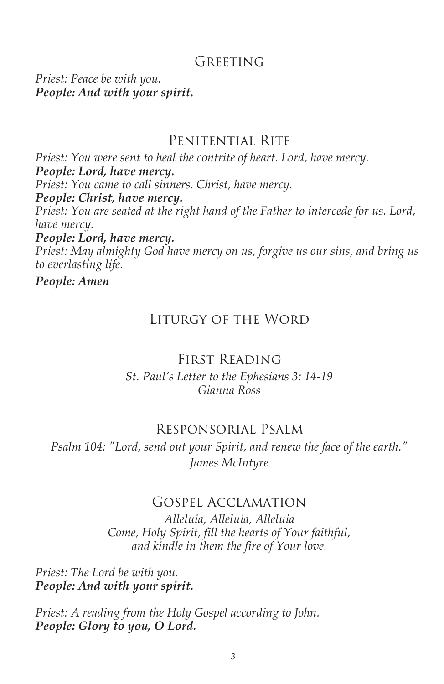#### GREETING

*Priest: Peace be with you. People: And with your spirit.*

#### Penitential Rite

*Priest: You were sent to heal the contrite of heart. Lord, have mercy. People: Lord, have mercy. Priest: You came to call sinners. Christ, have mercy. People: Christ, have mercy. Priest: You are seated at the right hand of the Father to intercede for us. Lord, have mercy. People: Lord, have mercy. Priest: May almighty God have mercy on us, forgive us our sins, and bring us to everlasting life.*

*People: Amen*

#### Liturgy of the Word

#### First Reading

*St. Paul's Letter to the Ephesians 3: 14-19 Gianna Ross*

#### Responsorial Psalm

*Psalm 104: "Lord, send out your Spirit, and renew the face of the earth." James McIntyre*

#### Gospel Acclamation

*Alleluia, Alleluia, Alleluia Come, Holy Spirit, fill the hearts of Your faithful, and kindle in them the fire of Your love.*

*Priest: The Lord be with you. People: And with your spirit.*

*Priest: A reading from the Holy Gospel according to John. People: Glory to you, O Lord.*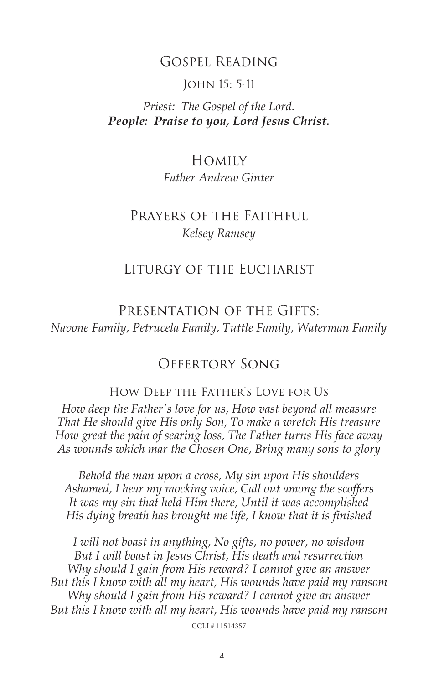#### Gospel Reading

#### John 15: 5-11

#### *Priest: The Gospel of the Lord. People: Praise to you, Lord Jesus Christ.*

#### Homily *Father Andrew Ginter*

#### PRAYERS OF THE FAITHFUL *Kelsey Ramsey*

#### Liturgy of the Eucharist

#### PRESENTATION OF THE GIFTS: *Navone Family, Petrucela Family, Tuttle Family, Waterman Family*

#### Offertory Song

#### How Deep the Father's Love for Us

*How deep the Father's love for us, How vast beyond all measure That He should give His only Son, To make a wretch His treasure How great the pain of searing loss, The Father turns His face away As wounds which mar the Chosen One, Bring many sons to glory*

*Behold the man upon a cross, My sin upon His shoulders Ashamed, I hear my mocking voice, Call out among the scoffers It was my sin that held Him there, Until it was accomplished His dying breath has brought me life, I know that it is finished*

*I will not boast in anything, No gifts, no power, no wisdom But I will boast in Jesus Christ, His death and resurrection Why should I gain from His reward? I cannot give an answer But this I know with all my heart, His wounds have paid my ransom Why should I gain from His reward? I cannot give an answer But this I know with all my heart, His wounds have paid my ransom*

CCLI # 11514357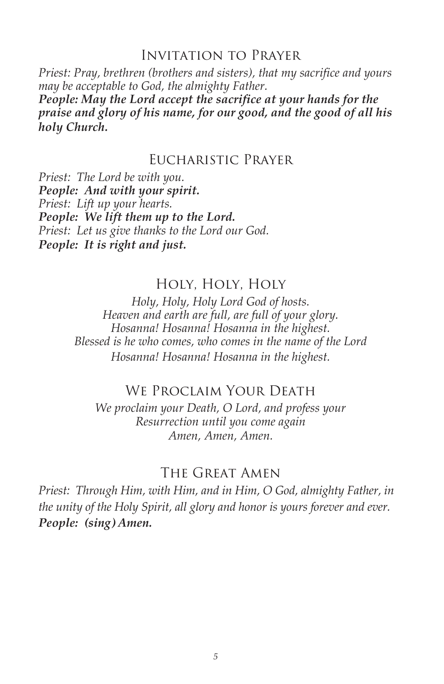#### Invitation to Prayer

*Priest: Pray, brethren (brothers and sisters), that my sacrifice and yours may be acceptable to God, the almighty Father. People: May the Lord accept the sacrifice at your hands for the praise and glory of his name, for our good, and the good of all his holy Church.*

#### Eucharistic Prayer

*Priest: The Lord be with you. People: And with your spirit. Priest: Lift up your hearts. People: We lift them up to the Lord. Priest: Let us give thanks to the Lord our God. People: It is right and just.*

#### Holy, Holy, Holy

*Holy, Holy, Holy Lord God of hosts. Heaven and earth are full, are full of your glory. Hosanna! Hosanna! Hosanna in the highest. Blessed is he who comes, who comes in the name of the Lord Hosanna! Hosanna! Hosanna in the highest.*

#### We Proclaim Your Death

*We proclaim your Death, O Lord, and profess your Resurrection until you come again Amen, Amen, Amen.*

#### The Great Amen

*Priest: Through Him, with Him, and in Him, O God, almighty Father, in the unity of the Holy Spirit, all glory and honor is yours forever and ever. People: (sing) Amen.*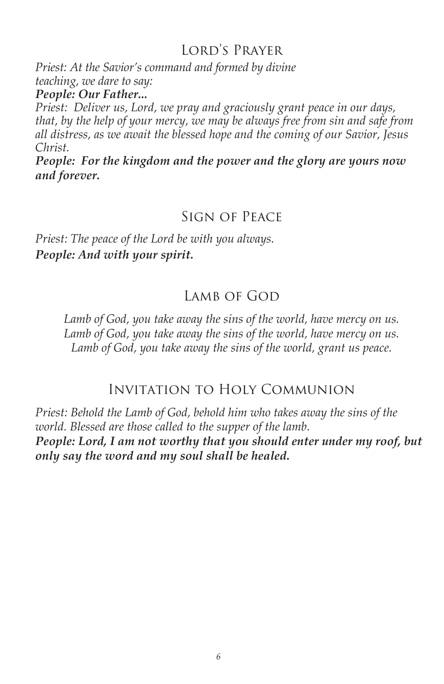#### Lord's Prayer

*Priest: At the Savior's command and formed by divine teaching, we dare to say:* 

#### *People: Our Father...*

*Priest: Deliver us, Lord, we pray and graciously grant peace in our days, that, by the help of your mercy, we may be always free from sin and safe from all distress, as we await the blessed hope and the coming of our Savior, Jesus Christ.* 

*People: For the kingdom and the power and the glory are yours now and forever.*

#### Sign of Peace

*Priest: The peace of the Lord be with you always. People: And with your spirit.*

### Lamb OF GOD

*Lamb of God, you take away the sins of the world, have mercy on us. Lamb of God, you take away the sins of the world, have mercy on us. Lamb of God, you take away the sins of the world, grant us peace.*

#### Invitation to Holy Communion

*Priest: Behold the Lamb of God, behold him who takes away the sins of the world. Blessed are those called to the supper of the lamb. People: Lord, I am not worthy that you should enter under my roof, but only say the word and my soul shall be healed.*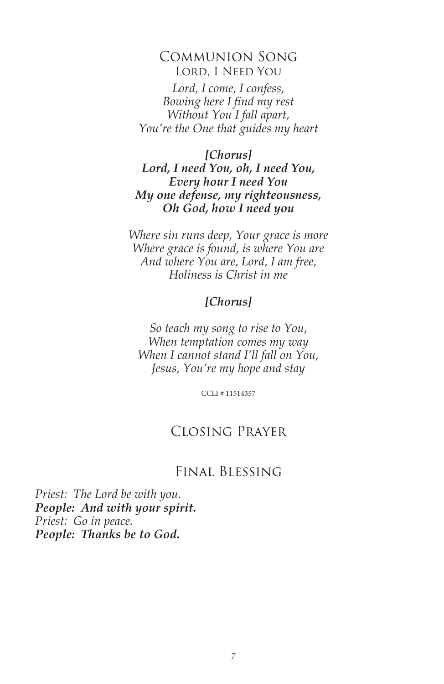#### Communion Song Lord, I Need You

*Lord, I come, I confess, Bowing here I find my rest Without You I fall apart, You're the One that guides my heart*

#### *[Chorus] Lord, I need You, oh, I need You, Every hour I need You My one defense, my righteousness, Oh God, how I need you*

*Where sin runs deep, Your grace is more Where grace is found, is where You are And where You are, Lord, I am free, Holiness is Christ in me*

#### *[Chorus]*

*So teach my song to rise to You, When temptation comes my way When I cannot stand I'll fall on You, Jesus, You're my hope and stay*

CCLI # 11514357

#### Closing Prayer

#### Final Blessing

*Priest: The Lord be with you. People: And with your spirit. Priest: Go in peace. People: Thanks be to God.*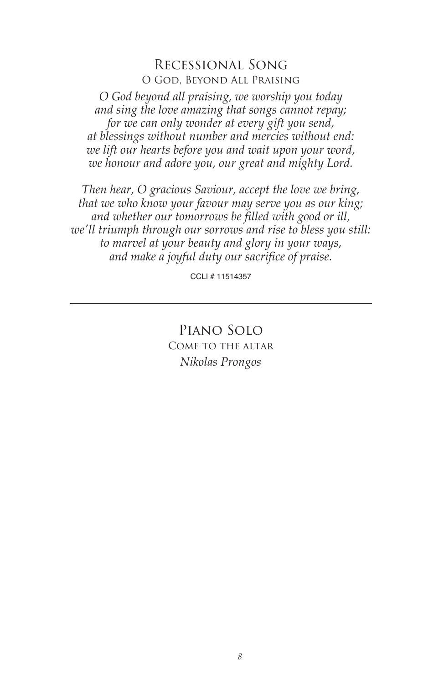#### Recessional Song O God, Beyond All Praising

*O God beyond all praising, we worship you today and sing the love amazing that songs cannot repay; for we can only wonder at every gift you send, at blessings without number and mercies without end: we lift our hearts before you and wait upon your word, we honour and adore you, our great and mighty Lord.*

*Then hear, O gracious Saviour, accept the love we bring, that we who know your favour may serve you as our king; and whether our tomorrows be filled with good or ill, we'll triumph through our sorrows and rise to bless you still: to marvel at your beauty and glory in your ways, and make a joyful duty our sacrifice of praise.* 

CCLI # 11514357

Piano Solo Come to the altar *Nikolas Prongos*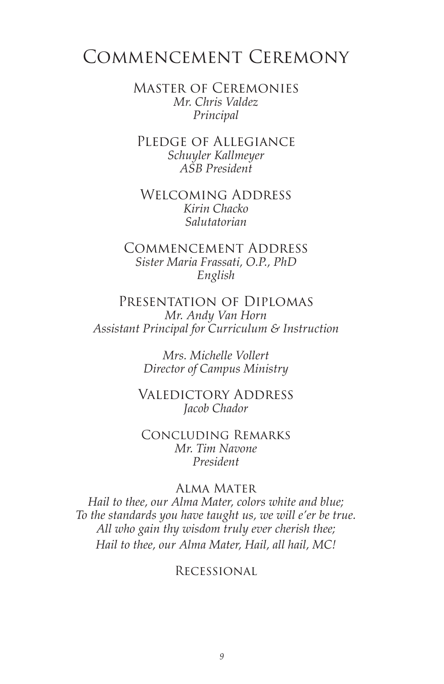## Commencement Ceremony

Master of Ceremonies *Mr. Chris Valdez Principal*

Pledge of Allegiance *Schuyler Kallmeyer ASB President*

WELCOMING ADDRESS *Kirin Chacko Salutatorian*

Commencement Address *Sister Maria Frassati, O.P., PhD English*

Presentation of Diplomas *Mr. Andy Van Horn Assistant Principal for Curriculum & Instruction*

> *Mrs. Michelle Vollert Director of Campus Ministry*

Valedictory Address *Jacob Chador*

#### Concluding Remarks *Mr. Tim Navone President*

#### Alma Mater

*Hail to thee, our Alma Mater, colors white and blue; To the standards you have taught us, we will e'er be true. All who gain thy wisdom truly ever cherish thee; Hail to thee, our Alma Mater, Hail, all hail, MC!*

#### Recessional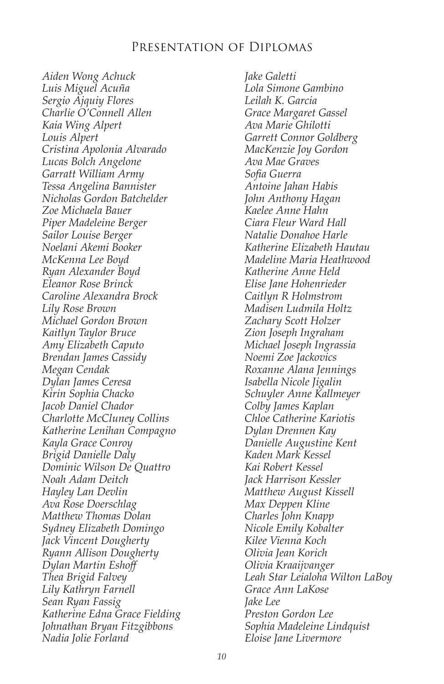#### Presentation of Diplomas

*Aiden Wong Achuck Luis Miguel Acuña Sergio Ajquiy Flores Charlie O'Connell Allen Kaia Wing Alpert Louis Alpert Cristina Apolonia Alvarado Lucas Bolch Angelone Garratt William Army Tessa Angelina Bannister Nicholas Gordon Batchelder Zoe Michaela Bauer Piper Madeleine Berger Sailor Louise Berger Noelani Akemi Booker McKenna Lee Boyd Ryan Alexander Boyd Eleanor Rose Brinck Caroline Alexandra Brock Lily Rose Brown Michael Gordon Brown Kaitlyn Taylor Bruce Amy Elizabeth Caputo Brendan James Cassidy Megan Cendak Dylan James Ceresa Kirin Sophia Chacko Jacob Daniel Chador Charlotte McCluney Collins Katherine Lenihan Compagno Kayla Grace Conroy Brigid Danielle Daly Dominic Wilson De Quattro Noah Adam Deitch Hayley Lan Devlin Ava Rose Doerschlag Matthew Thomas Dolan Sydney Elizabeth Domingo Jack Vincent Dougherty Ryann Allison Dougherty Dylan Martin Eshoff Thea Brigid Falvey Lily Kathryn Farnell Sean Ryan Fassig Katherine Edna Grace Fielding Johnathan Bryan Fitzgibbons Nadia Jolie Forland*

*Jake Galetti Lola Simone Gambino Leilah K. Garcia Grace Margaret Gassel Ava Marie Ghilotti Garrett Connor Goldberg MacKenzie Joy Gordon Ava Mae Graves Sofia Guerra Antoine Jahan Habis John Anthony Hagan Kaelee Anne Hahn Ciara Fleur Ward Hall Natalie Donahoe Harle Katherine Elizabeth Hautau Madeline Maria Heathwood Katherine Anne Held Elise Jane Hohenrieder Caitlyn R Holmstrom Madisen Ludmila Holtz Zachary Scott Holzer Zion Joseph Ingraham Michael Joseph Ingrassia Noemi Zoe Jackovics Roxanne Alana Jennings Isabella Nicole Jigalin Schuyler Anne Kallmeyer Colby James Kaplan Chloe Catherine Kariotis Dylan Drennen Kay Danielle Augustine Kent Kaden Mark Kessel Kai Robert Kessel Jack Harrison Kessler Matthew August Kissell Max Deppen Kline Charles John Knapp Nicole Emily Kobalter Kilee Vienna Koch Olivia Jean Korich Olivia Kraaijvanger Leah Star Leialoha Wilton LaBoy Grace Ann LaKose Jake Lee Preston Gordon Lee Sophia Madeleine Lindquist Eloise Jane Livermore*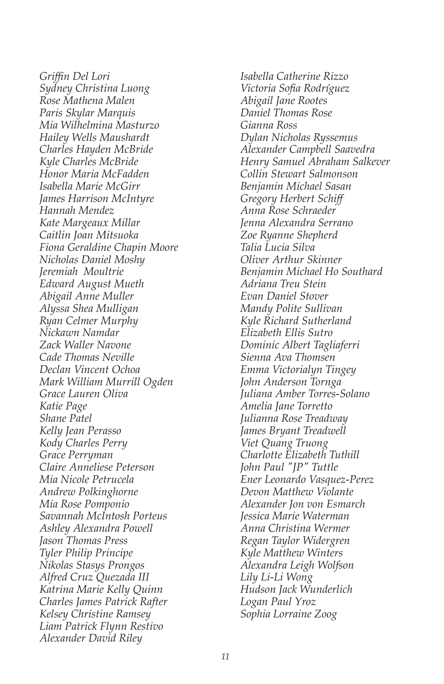*Griffin Del Lori Sydney Christina Luong Rose Mathena Malen Paris Skylar Marquis Mia Wilhelmina Masturzo Hailey Wells Maushardt Charles Hayden McBride Kyle Charles McBride Honor Maria McFadden Isabella Marie McGirr James Harrison McIntyre Hannah Mendez Kate Margeaux Millar Caitlin Joan Mitsuoka Fiona Geraldine Chapin Moore Nicholas Daniel Moshy Jeremiah Moultrie Edward August Mueth Abigail Anne Muller Alyssa Shea Mulligan Ryan Celmer Murphy Nickawn Namdar Zack Waller Navone Cade Thomas Neville Declan Vincent Ochoa Mark William Murrill Ogden Grace Lauren Oliva Katie Page Shane Patel Kelly Jean Perasso Kody Charles Perry Grace Perryman Claire Anneliese Peterson Mia Nicole Petrucela Andrew Polkinghorne Mia Rose Pomponio Savannah McIntosh Porteus Ashley Alexandra Powell Jason Thomas Press Tyler Philip Principe Nikolas Stasys Prongos Alfred Cruz Quezada III Katrina Marie Kelly Quinn Charles James Patrick Rafter Kelsey Christine Ramsey Liam Patrick Flynn Restivo Alexander David Riley*

*Isabella Catherine Rizzo Victoria Sofia Rodríguez Abigail Jane Rootes Daniel Thomas Rose Gianna Ross Dylan Nicholas Ryssemus Alexander Campbell Saavedra Henry Samuel Abraham Salkever Collin Stewart Salmonson Benjamin Michael Sasan Gregory Herbert Schiff Anna Rose Schraeder Jenna Alexandra Serrano Zoe Ryanne Shepherd Talia Lucia Silva Oliver Arthur Skinner Benjamin Michael Ho Southard Adriana Treu Stein Evan Daniel Stover Mandy Polite Sullivan Kyle Richard Sutherland Elizabeth Ellis Sutro Dominic Albert Tagliaferri Sienna Ava Thomsen Emma Victorialyn Tingey John Anderson Tornga Juliana Amber Torres-Solano Amelia Jane Torretto Julianna Rose Treadway James Bryant Treadwell Viet Quang Truong Charlotte Elizabeth Tuthill John Paul "JP" Tuttle Ener Leonardo Vasquez-Perez Devon Matthew Violante Alexander Jon von Esmarch Jessica Marie Waterman Anna Christina Wermer Regan Taylor Widergren Kyle Matthew Winters Alexandra Leigh Wolfson Lily Li-Li Wong Hudson Jack Wunderlich Logan Paul Yroz Sophia Lorraine Zoog*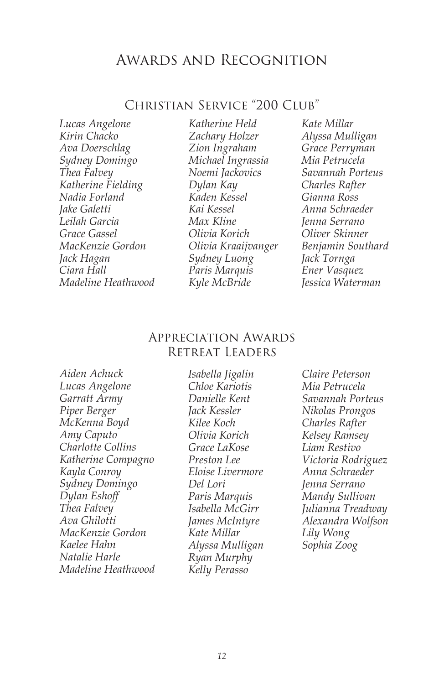### Awards and Recognition

#### Christian Service "200 Club"

*Lucas Angelone Kirin Chacko Ava Doerschlag Sydney Domingo Thea Falvey Katherine Fielding Nadia Forland Jake Galetti Leilah Garcia Grace Gassel MacKenzie Gordon Jack Hagan Ciara Hall Madeline Heathwood* *Katherine Held Zachary Holzer Zion Ingraham Michael Ingrassia Noemi Jackovics Dylan Kay Kaden Kessel Kai Kessel Max Kline Olivia Korich Olivia Kraaijvanger Sydney Luong Paris Marquis Kyle McBride*

*Kate Millar Garratt Army Alyssa Mulligan Grace Perryman Mia Petrucela Savannah Porteus Charles Rafter Gianna Ross Anna Schraeder Jenna Serrano Oliver Skinner Benjamin Southard Jack Tornga Ener Vasquez Jessica Waterman*

#### Appreciation Awards Retreat Leaders

*Aiden Achuck Lucas Angelone Garratt Army Piper Berger McKenna Boyd Amy Caputo Charlotte Collins Katherine Compagno Kayla Conroy Sydney Domingo Dylan Eshoff Thea Falvey Ava Ghilotti MacKenzie Gordon Kaelee Hahn Natalie Harle Madeline Heathwood*

*Isabella Jigalin Chloe Kariotis Danielle Kent Jack Kessler Kilee Koch Olivia Korich Grace LaKose Preston Lee Eloise Livermore Del Lori Paris Marquis Isabella McGirr James McIntyre Kate Millar Alyssa Mulligan Ryan Murphy Kelly Perasso*

*Claire Peterson Mia Petrucela Savannah Porteus Nikolas Prongos Charles Rafter Kelsey Ramsey Liam Restivo Victoria Rodriguez Anna Schraeder Jenna Serrano Mandy Sullivan Julianna Treadway Alexandra Wolfson Lily Wong Sophia Zoog*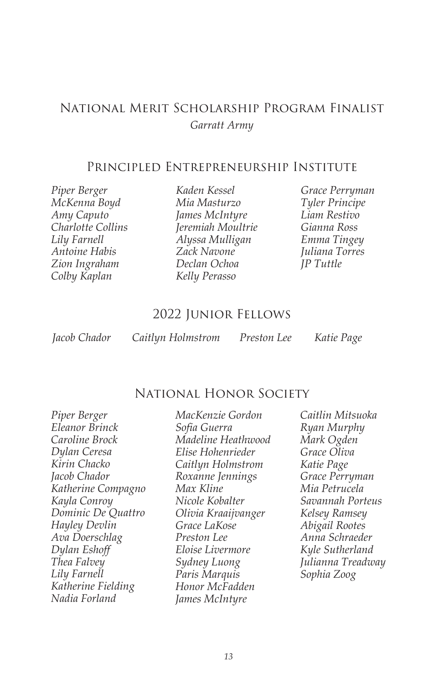#### National Merit Scholarship Program Finalist *Garratt Army*

#### Principled Entrepreneurship Institute

*Piper Berger McKenna Boyd Amy Caputo Charlotte Collins Lily Farnell Antoine Habis Zion Ingraham Colby Kaplan*

*Kaden Kessel Mia Masturzo James McIntyre Jeremiah Moultrie Alyssa Mulligan Zack Navone Declan Ochoa Kelly Perasso*

*Grace Perryman Tyler Principe Liam Restivo Gianna Ross Emma Tingey Juliana Torres JP Tuttle*

#### 2022 Junior Fellows

*Jacob Chador Caitlyn Holmstrom Preston Lee Katie Page*

#### National Honor Society

*Piper Berger Eleanor Brinck Caroline Brock Dylan Ceresa Kirin Chacko Jacob Chador Katherine Compagno Kayla Conroy Dominic De Quattro Hayley Devlin Ava Doerschlag Dylan Eshoff Thea Falvey Lily Farnell Katherine Fielding Nadia Forland*

*MacKenzie Gordon Sofia Guerra Madeline Heathwood Elise Hohenrieder Caitlyn Holmstrom Roxanne Jennings Max Kline Nicole Kobalter Olivia Kraaijvanger Grace LaKose Preston Lee Eloise Livermore Sydney Luong Paris Marquis Honor McFadden James McIntyre*

*Caitlin Mitsuoka Ryan Murphy Mark Ogden Grace Oliva Katie Page Grace Perryman Mia Petrucela Savannah Porteus Kelsey Ramsey Abigail Rootes Anna Schraeder Kyle Sutherland Julianna Treadway Sophia Zoog*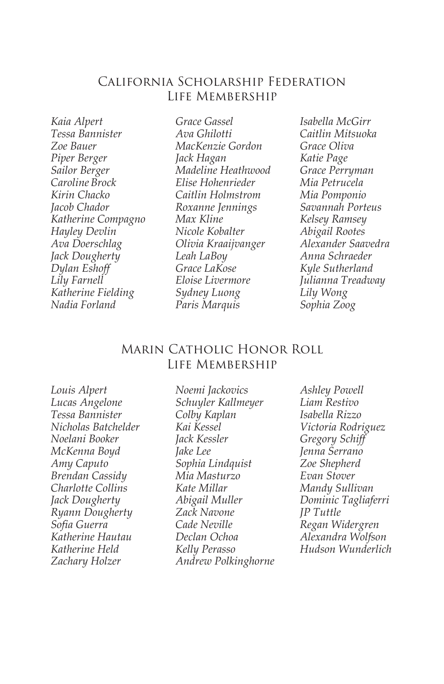#### California Scholarship Federation Life Membership

*Kaia Alpert Tessa Bannister Zoe Bauer Piper Berger Sailor Berger Caroline Brock Kirin Chacko Jacob Chador Katherine Compagno Hayley Devlin Ava Doerschlag Jack Dougherty Dylan Eshoff Lily Farnell Katherine Fielding Nadia Forland*

*Grace Gassel Ava Ghilotti MacKenzie Gordon Jack Hagan Madeline Heathwood Elise Hohenrieder Caitlin Holmstrom Roxanne Jennings Max Kline Nicole Kobalter Olivia Kraaijvanger Leah LaBoy Grace LaKose Eloise Livermore Sydney Luong Paris Marquis*

*Isabella McGirr Caitlin Mitsuoka Grace Oliva Katie Page Grace Perryman Mia Petrucela Mia Pomponio Savannah Porteus Kelsey Ramsey Abigail Rootes Alexander Saavedra Anna Schraeder Kyle Sutherland Julianna Treadway Lily Wong Sophia Zoog*

#### Marin Catholic Honor Roll Life Membership

*Louis Alpert Lucas Angelone Tessa Bannister Nicholas Batchelder Noelani Booker McKenna Boyd Amy Caputo Brendan Cassidy Charlotte Collins Jack Dougherty Ryann Dougherty Sofia Guerra Katherine Hautau Katherine Held Zachary Holzer*

*Noemi Jackovics Schuyler Kallmeyer Colby Kaplan Kai Kessel Jack Kessler Jake Lee Sophia Lindquist Mia Masturzo Kate Millar Abigail Muller Zack Navone Cade Neville Declan Ochoa Kelly Perasso Andrew Polkinghorne*

*Ashley Powell Liam Restivo Isabella Rizzo Victoria Rodriguez Gregory Schiff Jenna Serrano Zoe Shepherd Evan Stover Mandy Sullivan Dominic Tagliaferri JP Tuttle Regan Widergren Alexandra Wolfson Hudson Wunderlich*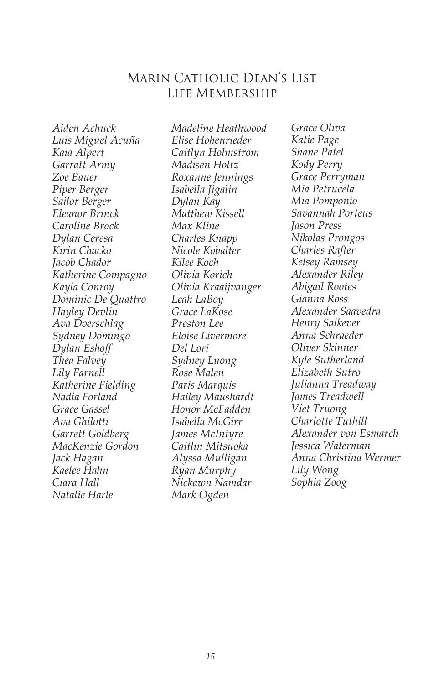#### Marin Catholic Dean's List Life Membership

*Aiden Achuck Luis Miguel Acuña Kaia Alpert Garratt Army Zoe Bauer Piper Berger Sailor Berger Eleanor Brinck Caroline Brock Dylan Ceresa Kirin Chacko Jacob Chador Katherine Compagno Kayla Conroy Dominic De Quattro Hayley Devlin Ava Doerschlag Sydney Domingo Dylan Eshoff Thea Falvey Lily Farnell Katherine Fielding Nadia Forland Grace Gassel Ava Ghilotti Garrett Goldberg MacKenzie Gordon Jack Hagan Kaelee Hahn Ciara Hall Natalie Harle*

*Madeline Heathwood Elise Hohenrieder Caitlyn Holmstrom Madisen Holtz Roxanne Jennings Isabella Jigalin Dylan Kay Matthew Kissell Max Kline Charles Knapp Nicole Kobalter Kilee Koch Olivia Korich Olivia Kraaijvanger Leah LaBoy Grace LaKose Preston Lee Eloise Livermore Del Lori Sydney Luong Rose Malen Paris Marquis Hailey Maushardt Honor McFadden Isabella McGirr James McIntyre Caitlin Mitsuoka Alyssa Mulligan Ryan Murphy Nickawn Namdar Mark Ogden*

*Grace Oliva Katie Page Shane Patel Kody Perry Grace Perryman Mia Petrucela Mia Pomponio Savannah Porteus Jason Press Nikolas Prongos Charles Rafter Kelsey Ramsey Alexander Riley Abigail Rootes Gianna Ross Alexander Saavedra Henry Salkever Anna Schraeder Oliver Skinner Kyle Sutherland Elizabeth Sutro Julianna Treadway James Treadwell Viet Truong Charlotte Tuthill Alexander von Esmarch Jessica Waterman Anna Christina Wermer Lily Wong Sophia Zoog*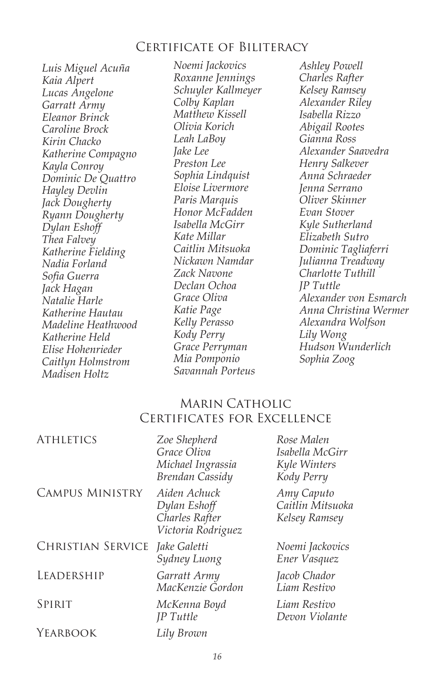#### Certificate of Biliteracy

*Luis Miguel Acuña Kaia Alpert Lucas Angelone Garratt Army Eleanor Brinck Caroline Brock Kirin Chacko Katherine Compagno Kayla Conroy Dominic De Quattro Hayley Devlin Jack Dougherty Ryann Dougherty Dylan Eshoff Thea Falvey Katherine Fielding Nadia Forland Sofia Guerra Jack Hagan Natalie Harle Katherine Hautau Madeline Heathwood Katherine Held Elise Hohenrieder Caitlyn Holmstrom Madisen Holtz*

*Noemi Jackovics Roxanne Jennings Schuyler Kallmeyer Colby Kaplan Matthew Kissell Olivia Korich Leah LaBoy Jake Lee Preston Lee Sophia Lindquist Eloise Livermore Paris Marquis Honor McFadden Isabella McGirr Kate Millar Caitlin Mitsuoka Nickawn Namdar Zack Navone Declan Ochoa Grace Oliva Katie Page Kelly Perasso Kody Perry Grace Perryman Mia Pomponio Savannah Porteus*

*Ashley Powell Charles Rafter Kelsey Ramsey Alexander Riley Isabella Rizzo Abigail Rootes Gianna Ross Alexander Saavedra Henry Salkever Anna Schraeder Jenna Serrano Oliver Skinner Evan Stover Kyle Sutherland Elizabeth Sutro Dominic Tagliaferri Julianna Treadway Charlotte Tuthill JP Tuttle Alexander von Esmarch Anna Christina Wermer Alexandra Wolfson Lily Wong Hudson Wunderlich Sophia Zoog*

#### Marin Catholic Certificates for Excellence

| <b>ATHLETICS</b>       | Zoe Shepherd<br>Grace Oliva<br>Michael Ingrassia<br>Brendan Cassidy  | Rose Malen<br>Isabella McGirr<br>Kyle Winters<br>Kody Perry |
|------------------------|----------------------------------------------------------------------|-------------------------------------------------------------|
| <b>CAMPUS MINISTRY</b> | Aiden Achuck<br>Dylan Eshoff<br>Charles Rafter<br>Victoria Rodriguez | Amy Caputo<br>Caitlin Mitsuoka<br>Kelsey Ramsey             |
| CHRISTIAN SERVICE      | Jake Galetti<br>Sydney Luong                                         | Noemi Jackovics<br>Ener Vasquez                             |
| LEADERSHIP             | Garratt Army<br>MacKenzie Gordon                                     | Jacob Chador<br>Liam Restivo                                |
| SPIRIT                 | McKenna Boyd<br><b>IP</b> Tuttle                                     | Liam Restivo<br>Devon Violante                              |
| YEARBOOK               | Lily Brown                                                           |                                                             |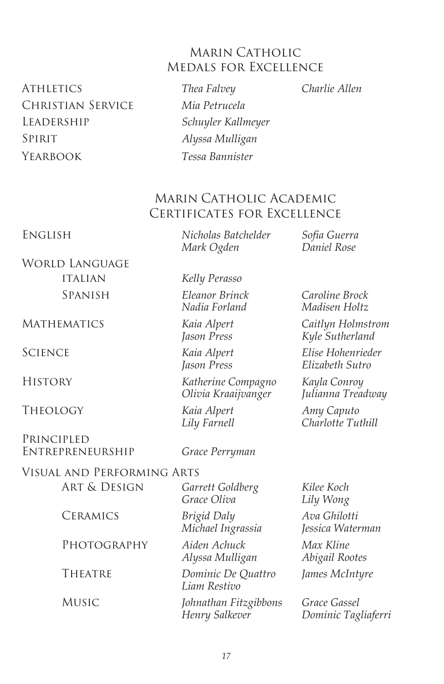#### **MARIN CATHOLIC** Medals for Excellence

Athletics *Thea Falvey Charlie Allen* Christian Service *Mia Petrucela* Leadership *Schuyler Kallmeyer* Yearbook *Tessa Bannister*

Spirit *Alyssa Mulligan* 

#### Marin Catholic Academic Certificates for Excellence

English *Nicholas Batchelder Sofia Guerra Mark Ogden* 

WORLD LANGUAGE italian *Kelly Perasso*

Principled Entrepreneurship *Grace Perryman*

Spanish *Eleanor Brinck Caroline Brock*

History *Katherine Compagno Kayla Conroy*   $O$ livia Kraaijvanger

*Madisen Holtz* 

Mathematics *Kaia Alpert Caitlyn Holmstrom Jason Press Kyle Sutherland*

Science *Kaia Alpert Elise Hohenrieder Jason Press Elizabeth Sutro*

Theology *Kaia Alpert Amy Caputo Lily Farnell Charlotte Tuthill*

Visual and Performing Arts

| <b>ART &amp; DESIGN</b> | Garrett Goldberg<br>Grace Oliva         | Kilee Koch<br>Lily Wong             |
|-------------------------|-----------------------------------------|-------------------------------------|
| <b>CERAMICS</b>         | Brigid Daly<br>Michael Ingrassia        | Ava Ghilotti<br>Jessica Waterman    |
| PHOTOGRAPHY             | Aiden Achuck<br>Alyssa Mulligan         | Max Kline<br>Abigail Rootes         |
| <b>THEATRE</b>          | Dominic De Quattro<br>Liam Restivo      | James McIntyre                      |
| <b>MUSIC</b>            | Johnathan Fitzgibbons<br>Henry Salkever | Grace Gassel<br>Dominic Tagliaferri |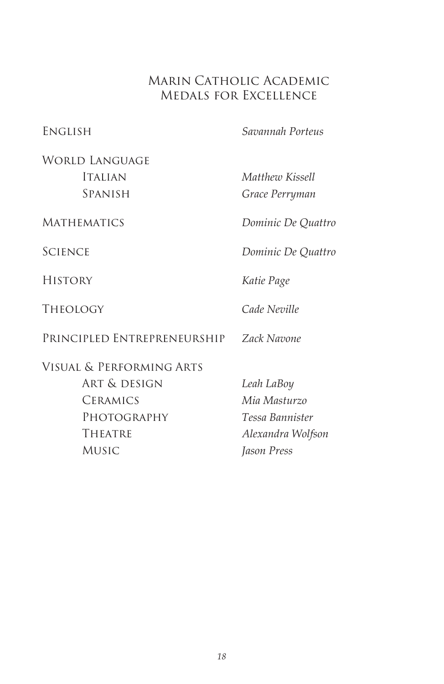### Marin Catholic Academic Medals for Excellence

English *Savannah Porteus* 

| World Language              |                    |
|-----------------------------|--------------------|
| <b>ITALIAN</b>              | Matthew Kissell    |
| Spanish                     | Grace Perryman     |
| <b>MATHEMATICS</b>          | Dominic De Quattro |
| SCIENCE                     | Dominic De Quattro |
| <b>HISTORY</b>              | Katie Page         |
| <b>THEOLOGY</b>             | Cade Neville       |
| PRINCIPLED ENTREPRENEURSHIP | Zack Navone        |
| Visual & Performing Arts    |                    |
| ART & DESIGN                | Leah LaBoy         |
| Ceramics                    | Mia Masturzo       |
| PHOTOGRAPHY                 | Tessa Bannister    |
| <b>THEATRE</b>              | Alexandra Wolfson  |
| Music                       | Jason Press        |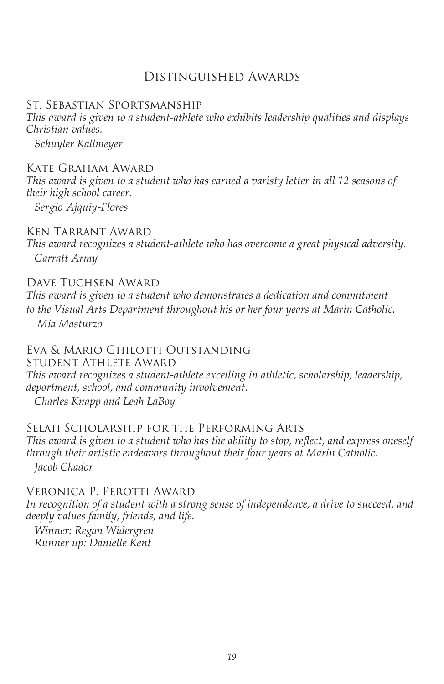#### Distinguished Awards

#### St. Sebastian Sportsmanship

*This award is given to a student-athlete who exhibits leadership qualities and displays Christian values.*

 *Schuyler Kallmeyer*

#### Kate Graham Award

*This award is given to a student who has earned a varisty letter in all 12 seasons of their high school career.*

 *Sergio Ajquiy-Flores* 

#### Ken Tarrant Award

*This award recognizes a student-athlete who has overcome a great physical adversity. Garratt Army* 

#### Dave Tuchsen Award

*This award is given to a student who demonstrates a dedication and commitment to the Visual Arts Department throughout his or her four years at Marin Catholic. Mia Masturzo* 

#### Eva & Mario Ghilotti Outstanding

#### Student Athlete Award

*This award recognizes a student-athlete excelling in athletic, scholarship, leadership, deportment, school, and community involvement.*

 *Charles Knapp and Leah LaBoy*

#### Selah Scholarship for the Performing Arts

*This award is given to a student who has the ability to stop, reflect, and express oneself through their artistic endeavors throughout their four years at Marin Catholic. Jacob Chador*

#### Veronica P. Perotti Award

*In recognition of a student with a strong sense of independence, a drive to succeed, and deeply values family, friends, and life.* 

 *Winner: Regan Widergren Runner up: Danielle Kent*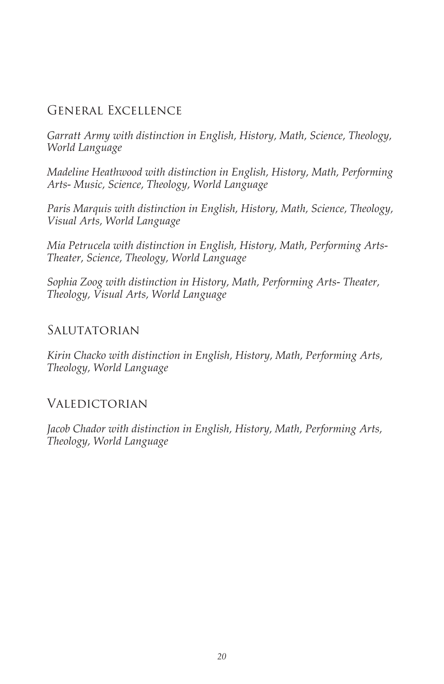#### General Excellence

*Garratt Army with distinction in English, History, Math, Science, Theology, World Language*

*Madeline Heathwood with distinction in English, History, Math, Performing Arts- Music, Science, Theology, World Language*

*Paris Marquis with distinction in English, History, Math, Science, Theology, Visual Arts, World Language*

*Mia Petrucela with distinction in English, History, Math, Performing Arts-Theater, Science, Theology, World Language*

*Sophia Zoog with distinction in History, Math, Performing Arts- Theater, Theology, Visual Arts, World Language*

#### Salutatorian

*Kirin Chacko with distinction in English, History, Math, Performing Arts, Theology, World Language*

#### Valedictorian

*Jacob Chador with distinction in English, History, Math, Performing Arts, Theology, World Language*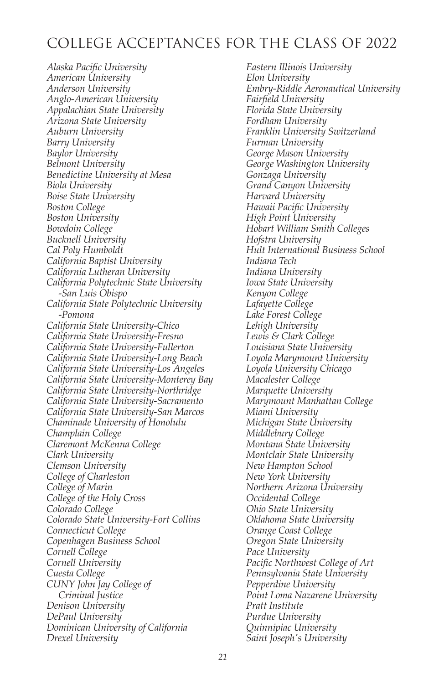## COLLEGE ACCEPTANCES FOR THE CLASS OF 2022

*Alaska Pacific University American University Anderson University Anglo-American University Appalachian State University Arizona State University Auburn University Barry University Baylor University Belmont University Benedictine University at Mesa Biola University Boise State University Boston College Boston University Bowdoin College Bucknell University Cal Poly Humboldt California Baptist University California Lutheran University California Polytechnic State University -San Luis Obispo California State Polytechnic University -Pomona California State University-Chico California State University-Fresno California State University-Fullerton California State University-Long Beach California State University-Los Angeles California State University-Monterey Bay California State University-Northridge California State University-Sacramento California State University-San Marcos Chaminade University of Honolulu Champlain College Claremont McKenna College Clark University Clemson University College of Charleston College of Marin College of the Holy Cross Colorado College Colorado State University-Fort Collins Connecticut College Copenhagen Business School Cornell College Cornell University Cuesta College CUNY John Jay College of Criminal Justice Denison University DePaul University Dominican University of California Drexel University*

*Eastern Illinois University Elon University Embry-Riddle Aeronautical University Fairfield University Florida State University Fordham University Franklin University Switzerland Furman University George Mason University George Washington University Gonzaga University Grand Canyon University Harvard University Hawaii Pacific University High Point University Hobart William Smith Colleges Hofstra University Hult International Business School Indiana Tech Indiana University Iowa State University Kenyon College Lafayette College Lake Forest College Lehigh University Lewis & Clark College Louisiana State University Loyola Marymount University Loyola University Chicago Macalester College Marquette University Marymount Manhattan College Miami University Michigan State University Middlebury College Montana State University Montclair State University New Hampton School New York University Northern Arizona University Occidental College Ohio State University Oklahoma State University Orange Coast College Oregon State University Pace University Pacific Northwest College of Art Pennsylvania State University Pepperdine University Point Loma Nazarene University Pratt Institute Purdue University Quinnipiac University Saint Joseph's University*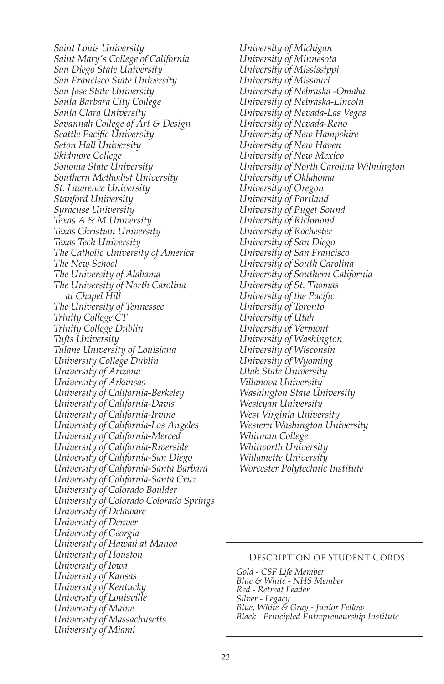*Saint Louis University Saint Mary's College of California San Diego State University San Francisco State University San Jose State University Santa Barbara City College Santa Clara University Savannah College of Art & Design Seattle Pacific University Seton Hall University Skidmore College Sonoma State University Southern Methodist University St. Lawrence University Stanford University Syracuse University Texas A & M University Texas Christian University Texas Tech University The Catholic University of America The New School The University of Alabama The University of North Carolina at Chapel Hill The University of Tennessee Trinity College CT Trinity College Dublin Tufts University Tulane University of Louisiana University College Dublin University of Arizona University of Arkansas University of California-Berkeley University of California-Davis University of California-Irvine University of California-Los Angeles University of California-Merced University of California-Riverside University of California-San Diego University of California-Santa Barbara University of California-Santa Cruz University of Colorado Boulder University of Colorado Colorado Springs University of Delaware University of Denver University of Georgia University of Hawaii at Manoa University of Houston University of Iowa University of Kansas University of Kentucky University of Louisville University of Maine University of Massachusetts University of Miami*

*University of Michigan University of Minnesota University of Mississippi University of Missouri University of Nebraska -Omaha University of Nebraska-Lincoln University of Nevada-Las Vegas University of Nevada-Reno University of New Hampshire University of New Haven University of New Mexico University of North Carolina Wilmington University of Oklahoma University of Oregon University of Portland University of Puget Sound University of Richmond University of Rochester University of San Diego University of San Francisco University of South Carolina University of Southern California University of St. Thomas University of the Pacific University of Toronto University of Utah University of Vermont University of Washington University of Wisconsin University of Wyoming Utah State University Villanova University Washington State University Wesleyan University West Virginia University Western Washington University Whitman College Whitworth University Willamette University Worcester Polytechnic Institute*

#### Description of Student Cords

*Gold - CSF Life Member Blue & White - NHS Member Red - Retreat Leader Silver - Legacy Blue, White & Gray - Junior Fellow Black - Principled Entrepreneurship Institute*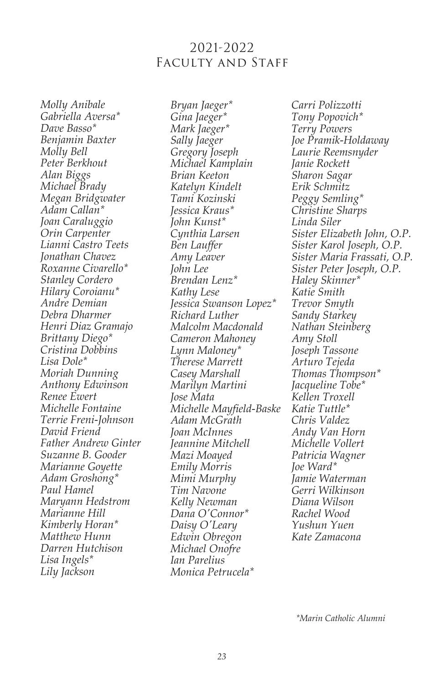#### 2021-2022 Faculty and Staff

*Molly Anibale Gabriella Aversa\* Dave Basso\* Benjamin Baxter Molly Bell Peter Berkhout Alan Biggs Michael Brady Megan Bridgwater Adam Callan\* Joan Caraluggio Orin Carpenter Lianni Castro Teets Jonathan Chavez Roxanne Civarello\* Stanley Cordero Hilary Coroianu\* Andre Demian Debra Dharmer Henri Diaz Gramajo Brittany Diego\* Cristina Dobbins Lisa Dole\* Moriah Dunning Anthony Edwinson Renee Ewert Michelle Fontaine Terrie Freni-Johnson David Friend Father Andrew Ginter Suzanne B. Gooder Marianne Goyette Adam Groshong\* Paul Hamel Maryann Hedstrom Marianne Hill Kimberly Horan\* Matthew Hunn Darren Hutchison Lisa Ingels\* Lily Jackson*

*Bryan Jaeger\* Gina Jaeger\* Mark Jaeger\* Sally Jaeger Gregory Joseph Michael Kamplain Brian Keeton Katelyn Kindelt Tami Kozinski Jessica Kraus\* John Kunst\* Cynthia Larsen Ben Lauffer Amy Leaver John Lee Brendan Lenz\* Kathy Lese Jessica Swanson Lopez\* Richard Luther Malcolm Macdonald Cameron Mahoney Lynn Maloney\* Therese Marrett Casey Marshall Marilyn Martini Jose Mata Michelle Mayfield-Baske Adam McGrath Joan McInnes Jeannine Mitchell Mazi Moayed Emily Morris Mimi Murphy Tim Navone Kelly Newman Dana O'Connor\* Daisy O'Leary Edwin Obregon Michael Onofre Ian Parelius Monica Petrucela\**

*Carri Polizzotti Tony Popovich\* Terry Powers Joe Pramik-Holdaway Laurie Reemsnyder Janie Rockett Sharon Sagar Erik Schmitz Peggy Semling\* Christine Sharps Linda Siler Sister Elizabeth John, O.P. Sister Karol Joseph, O.P. Sister Maria Frassati, O.P. Sister Peter Joseph, O.P. Haley Skinner\* Katie Smith Trevor Smyth Sandy Starkey Nathan Steinberg Amy Stoll Joseph Tassone Arturo Tejeda Thomas Thompson\* Jacqueline Tobe\* Kellen Troxell Katie Tuttle\* Chris Valdez Andy Van Horn Michelle Vollert Patricia Wagner Joe Ward\* Jamie Waterman Gerri Wilkinson Diana Wilson Rachel Wood Yushun Yuen Kate Zamacona*

*\*Marin Catholic Alumni*